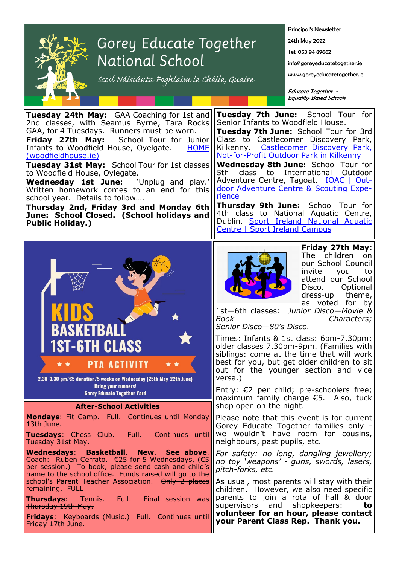

## Gorey Educate Together National School

scoil Náisiúnta Foghlaim le Chéile, Guaire

Principal's Newsletter

24th May 2022

Tel: 053 94 89662

info@goreyeducatetogether.ie

www.goreyeducatetogether.ie

Educate Together - Equality-Based Schools

| <b>Tuesday 24th May:</b> GAA Coaching for 1st and<br>2nd classes, with Seamus Byrne, Tara Rocks<br>GAA, for 4 Tuesdays. Runners must be worn.<br>Friday 27th May:<br>School Tour for Junior<br>Infants to Woodfield House, Oyelgate.<br><b>HOME</b><br>(woodfieldhouse.ie)<br>Tuesday 31st May: School Tour for 1st classes<br>to Woodfield House, Oylegate.<br><b>Wednesday 1st June:</b> 'Unplug and play.'<br>Written homework comes to an end for this<br>school year. Details to follow<br>Thursday 2nd, Friday 3rd and Monday 6th<br>June: School Closed. (School holidays and<br><b>Public Holiday.)</b> | Tuesday 7th June: School Tour for<br>Senior Infants to Woodfield House.<br>Tuesday 7th June: School Tour for 3rd<br>Class to Castlecomer Discovery Park,<br>Kilkenny. Castlecomer Discovery Park,<br>Not-for-Profit Outdoor Park in Kilkenny<br>Wednesday 8th June: School Tour for<br>class to<br>International<br>5th.<br>Outdoor<br>Adventure Centre, Tagoat. <b>IOAC</b>   Out-<br>door Adventure Centre & Scouting Expe-<br>rience<br><b>Thursday 9th June:</b> School Tour for<br>4th class to National Aquatic Centre,<br>Dublin. Sport Ireland National Aquatic<br>Centre   Sport Ireland Campus |
|-----------------------------------------------------------------------------------------------------------------------------------------------------------------------------------------------------------------------------------------------------------------------------------------------------------------------------------------------------------------------------------------------------------------------------------------------------------------------------------------------------------------------------------------------------------------------------------------------------------------|----------------------------------------------------------------------------------------------------------------------------------------------------------------------------------------------------------------------------------------------------------------------------------------------------------------------------------------------------------------------------------------------------------------------------------------------------------------------------------------------------------------------------------------------------------------------------------------------------------|
| BASKETBAI                                                                                                                                                                                                                                                                                                                                                                                                                                                                                                                                                                                                       | Friday 27th May:<br>The children<br>on<br>our School Council<br>invite<br>to<br>you<br>attend our School<br>Disco.<br>Optional<br>dress-up theme,<br>as voted for by<br>1st-6th classes:<br>Junior Disco-Movie &<br>Book<br>Characters;<br>Senior Disco-80's Disco.                                                                                                                                                                                                                                                                                                                                      |
| <b>1ST-6TH CLASS</b><br>PTA ACTIVITY<br>2.30-3.30 pm/€5 donation/5 weeks on Wednesday (25th May-22th June)                                                                                                                                                                                                                                                                                                                                                                                                                                                                                                      | Times: Infants & 1st class: 6pm-7.30pm;<br>older classes 7.30pm-9pm. (Families with<br>siblings: come at the time that will work<br>best for you, but get older children to sit<br>out for the younger section and vice<br>versa.)                                                                                                                                                                                                                                                                                                                                                                       |
| <b>Bring your runners!</b><br><b>Gorey Educate Together Yard</b><br><b>After-School Activities</b>                                                                                                                                                                                                                                                                                                                                                                                                                                                                                                              | Entry: $\epsilon$ 2 per child; pre-schoolers free;<br>maximum family charge $\epsilon$ 5. Also, tuck<br>shop open on the night.                                                                                                                                                                                                                                                                                                                                                                                                                                                                          |
| <b>Mondays:</b> Fit Camp. Full. Continues until Monday<br>13th June.<br>Tuesdays: Chess Club. Full. Continues until<br>Tuesday 31st May.                                                                                                                                                                                                                                                                                                                                                                                                                                                                        | Please note that this event is for current<br>Gorey Educate Together families only -<br>we wouldn't have room for cousins,<br>neighbours, past pupils, etc.                                                                                                                                                                                                                                                                                                                                                                                                                                              |
| Wednesdays: Basketball. New. See above.<br>Coach: Ruben Cerrato. €25 for 5 Wednesdays, (€5<br>per session.) To book, please send cash and child's<br>name to the school office. Funds raised will go to the                                                                                                                                                                                                                                                                                                                                                                                                     | <u>For safety: no long, dangling jewellery;</u><br>no toy 'weapons' - guns, swords, lasers,<br>pitch-forks, etc.                                                                                                                                                                                                                                                                                                                                                                                                                                                                                         |
| school's Parent Teacher Association. Only 2 places<br>remaining. FULL<br><b>Thursdays:</b> Tennis. Full. Final session was<br><del>Thursday 19th May.</del><br>Fridays: Keyboards (Music.) Full. Continues until<br>Friday 17th June.                                                                                                                                                                                                                                                                                                                                                                           | As usual, most parents will stay with their<br>children. However, we also need specific<br>parents to join a rota of hall & door<br>and<br>shopkeepers:<br>supervisors<br>to<br>volunteer for an hour, please contact<br>your Parent Class Rep. Thank you.                                                                                                                                                                                                                                                                                                                                               |